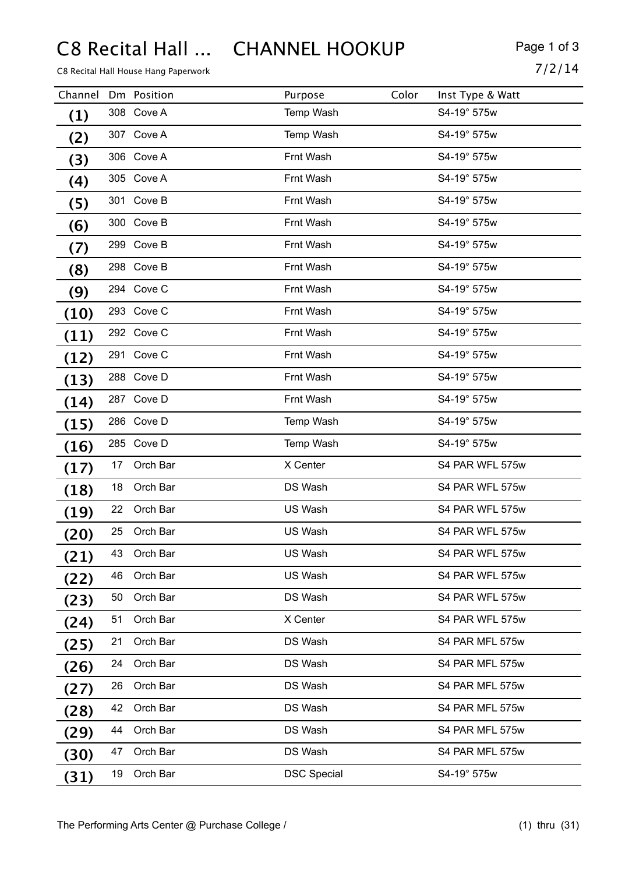# C8 Recital Hall ... CHANNEL HOOKUP Page 1 of 3

C8 Recital Hall House Hang Paperwork  $7/2/14$ 

| Channel           |    | Dm Position | Purpose            | Color | Inst Type & Watt |
|-------------------|----|-------------|--------------------|-------|------------------|
| (1)               |    | 308 Cove A  | Temp Wash          |       | S4-19° 575w      |
| (2)               |    | 307 Cove A  | Temp Wash          |       | S4-19° 575w      |
| (3)               |    | 306 Cove A  | Frnt Wash          |       | S4-19° 575w      |
| $\left( 4\right)$ |    | 305 Cove A  | Frnt Wash          |       | S4-19° 575w      |
| (5)               |    | 301 Cove B  | Frnt Wash          |       | S4-19° 575w      |
| (6)               |    | 300 Cove B  | Frnt Wash          |       | S4-19° 575w      |
| (7)               |    | 299 Cove B  | Frnt Wash          |       | S4-19° 575w      |
| (8)               |    | 298 Cove B  | Frnt Wash          |       | S4-19° 575w      |
| (9)               |    | 294 Cove C  | Frnt Wash          |       | S4-19° 575w      |
| (10)              |    | 293 Cove C  | Frnt Wash          |       | S4-19° 575w      |
| (11)              |    | 292 Cove C  | Frnt Wash          |       | S4-19° 575w      |
| (12)              |    | 291 Cove C  | Frnt Wash          |       | S4-19° 575w      |
| (13)              |    | 288 Cove D  | Frnt Wash          |       | S4-19° 575w      |
| (14)              |    | 287 Cove D  | Frnt Wash          |       | S4-19° 575w      |
| (15)              |    | 286 Cove D  | Temp Wash          |       | S4-19° 575w      |
| (16)              |    | 285 Cove D  | Temp Wash          |       | S4-19° 575w      |
| (17)              | 17 | Orch Bar    | X Center           |       | S4 PAR WFL 575w  |
| (18)              | 18 | Orch Bar    | DS Wash            |       | S4 PAR WFL 575w  |
| (19)              | 22 | Orch Bar    | US Wash            |       | S4 PAR WFL 575w  |
| (20)              | 25 | Orch Bar    | US Wash            |       | S4 PAR WFL 575w  |
| (21)              | 43 | Orch Bar    | US Wash            |       | S4 PAR WFL 575w  |
| (22)              | 46 | Orch Bar    | US Wash            |       | S4 PAR WFL 575w  |
| (23)              | 50 | Orch Bar    | DS Wash            |       | S4 PAR WFL 575w  |
| (24)              | 51 | Orch Bar    | X Center           |       | S4 PAR WFL 575w  |
| (25)              | 21 | Orch Bar    | DS Wash            |       | S4 PAR MFL 575w  |
| (26)              | 24 | Orch Bar    | DS Wash            |       | S4 PAR MFL 575w  |
| (27)              | 26 | Orch Bar    | DS Wash            |       | S4 PAR MFL 575w  |
| (28)              | 42 | Orch Bar    | DS Wash            |       | S4 PAR MFL 575w  |
| (29)              | 44 | Orch Bar    | DS Wash            |       | S4 PAR MFL 575w  |
| (30)              | 47 | Orch Bar    | DS Wash            |       | S4 PAR MFL 575w  |
| (31)              | 19 | Orch Bar    | <b>DSC Special</b> |       | S4-19° 575w      |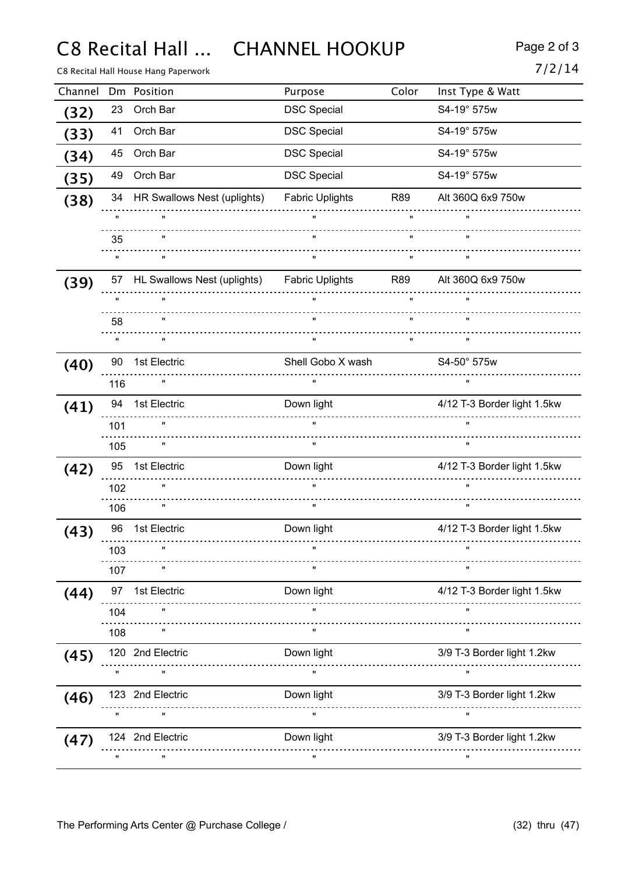C8 Recital Hall ... CHANNEL HOOKUP Page 2 of 3

C8 Recital Hall House Hang Paperwork

| Channel |                    | Dm Position                                                          | Purpose                | Color        | Inst Type & Watt            |
|---------|--------------------|----------------------------------------------------------------------|------------------------|--------------|-----------------------------|
| (32)    | 23                 | Orch Bar                                                             | <b>DSC Special</b>     |              | S4-19° 575w                 |
| (33)    | 41                 | Orch Bar                                                             | <b>DSC Special</b>     |              | S4-19° 575w                 |
| (34)    | 45                 | Orch Bar                                                             | <b>DSC Special</b>     |              | S4-19° 575w                 |
| (35)    | 49                 | Orch Bar                                                             | <b>DSC Special</b>     |              | S4-19° 575w                 |
| (38)    |                    | 34 HR Swallows Nest (uplights)                                       | <b>Fabric Uplights</b> | R89          | Alt 360Q 6x9 750w           |
|         | $\mathbf{u}$       | <u>.</u>                                                             |                        | $\mathbf{u}$ |                             |
|         | 35                 |                                                                      |                        | $\mathbf{u}$ |                             |
|         |                    |                                                                      | $\mathbf{u}$           | $\mathbf{H}$ |                             |
| (39)    |                    | 57 HL Swallows Nest (uplights) Fabric Uplights R89 Alt 360Q 6x9 750w |                        |              |                             |
|         | $\mathbf{u}$       |                                                                      | $\mathbf{u}$           | $\mathbf{u}$ | $\mathbf{u}$                |
|         | 58                 |                                                                      |                        | $\mathbf{u}$ |                             |
|         |                    | $\mathbf{u}$                                                         | $\mathbf{u}$           | $\mathbf{u}$ | $\mathbf{u}$                |
| (40)    | 90                 | 1st Electric                                                         | Shell Gobo X wash      |              | S4-50° 575w                 |
|         | 116                |                                                                      | $\mathbf{u}$           |              |                             |
| (41)    |                    | 94 1st Electric                                                      | Down light             |              | 4/12 T-3 Border light 1.5kw |
|         | 101                |                                                                      | $\mathbf{u}$           |              | $\mathbf{u}$                |
|         | 105                |                                                                      | $\mathbf{u}$           |              |                             |
| (42)    |                    | 95 1st Electric                                                      | Down light             |              | 4/12 T-3 Border light 1.5kw |
|         | 102                |                                                                      | $\mathbf{u}$           |              |                             |
|         | 106                |                                                                      | $\mathbf{u}$           |              |                             |
| (43)    | 96                 | 1st Electric                                                         | Down light             |              | 4/12 T-3 Border light 1.5kw |
|         | 103                | $\pmb{\mathsf{u}}$                                                   |                        |              |                             |
|         | 107                |                                                                      | $\pmb{\mathsf{H}}$     |              | $\mathbf{u}$                |
| (44)    | 97                 | 1st Electric                                                         | Down light             |              | 4/12 T-3 Border light 1.5kw |
|         | 104                |                                                                      |                        |              | $\mathbf{u}$                |
|         | 108                |                                                                      | $\mathbf{u}$           |              |                             |
| (45)    |                    | 120 2nd Electric                                                     | Down light             |              | 3/9 T-3 Border light 1.2kw  |
|         | $\pmb{\mathsf{H}}$ |                                                                      | $\mathbf{H}$           |              | π.                          |
| (46)    |                    | 123 2nd Electric                                                     | Down light             |              | 3/9 T-3 Border light 1.2kw  |
|         |                    |                                                                      | $\mathbf{H}$           |              | $\pmb{\mathsf{u}}$          |
| (47)    |                    | 124 2nd Electric                                                     | Down light             |              | 3/9 T-3 Border light 1.2kw  |
|         |                    | $\pmb{\mathsf{H}}$                                                   | $\pmb{\mathsf{u}}$     |              | $\pmb{\mathfrak{m}}$        |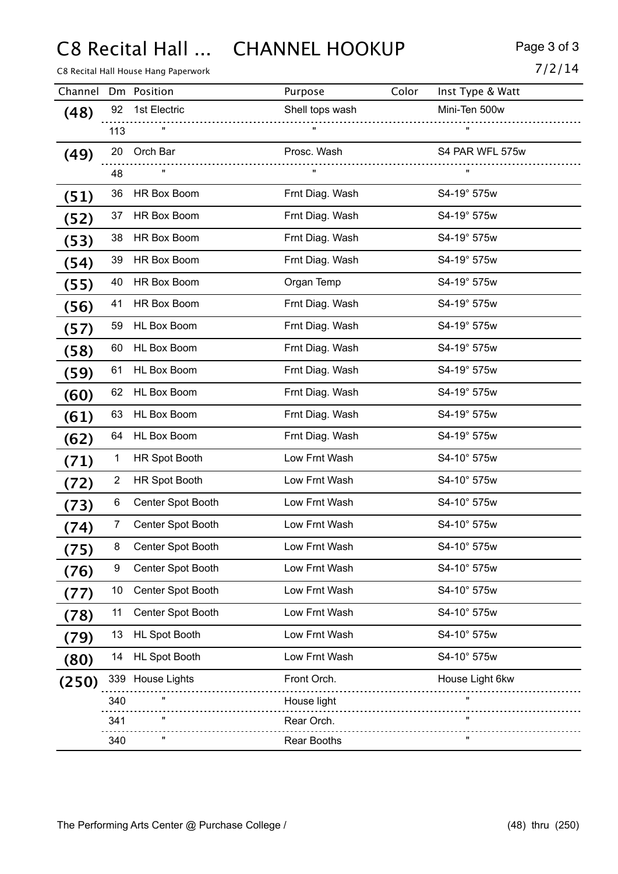C8 Recital Hall ... CHANNEL HOOKUP Page 3 of 3

C8 Recital Hall House Hang Paperwork  $7/2/14$ 

| Channel |                | Dm Position          | Purpose            | Color | Inst Type & Watt   |
|---------|----------------|----------------------|--------------------|-------|--------------------|
| (48)    | 92             | 1st Electric         | Shell tops wash    |       | Mini-Ten 500w      |
|         | 113            |                      | $\mathbf{u}$       |       | $\mathbf{u}$       |
| (49)    |                | 20 Orch Bar          | Prosc. Wash        |       | S4 PAR WFL 575w    |
|         | 48             |                      | $\mathbf{H}$       |       | $\pmb{\mathsf{H}}$ |
| (51)    | 36             | HR Box Boom          | Frnt Diag. Wash    |       | S4-19° 575w        |
| (52)    | 37             | HR Box Boom          | Frnt Diag. Wash    |       | S4-19° 575w        |
| (53)    | 38             | HR Box Boom          | Frnt Diag. Wash    |       | S4-19° 575w        |
| (54)    | 39             | HR Box Boom          | Frnt Diag. Wash    |       | S4-19° 575w        |
| (55)    | 40             | HR Box Boom          | Organ Temp         |       | S4-19° 575w        |
| (56)    | 41             | HR Box Boom          | Frnt Diag. Wash    |       | S4-19° 575w        |
| (57)    | 59             | HL Box Boom          | Frnt Diag. Wash    |       | S4-19° 575w        |
| (58)    | 60             | <b>HL Box Boom</b>   | Frnt Diag. Wash    |       | S4-19° 575w        |
| (59)    | 61             | <b>HL Box Boom</b>   | Frnt Diag. Wash    |       | S4-19° 575w        |
| (60)    | 62             | <b>HL Box Boom</b>   | Frnt Diag. Wash    |       | S4-19° 575w        |
| (61)    | 63             | <b>HL Box Boom</b>   | Frnt Diag. Wash    |       | S4-19° 575w        |
| (62)    | 64             | HL Box Boom          | Frnt Diag. Wash    |       | S4-19° 575w        |
| (71)    | 1              | <b>HR Spot Booth</b> | Low Frnt Wash      |       | S4-10° 575w        |
| (72)    | $\overline{2}$ | <b>HR Spot Booth</b> | Low Frnt Wash      |       | S4-10° 575w        |
| 73)     | 6              | Center Spot Booth    | Low Frnt Wash      |       | S4-10° 575w        |
| (74)    | 7              | Center Spot Booth    | Low Frnt Wash      |       | S4-10° 575w        |
| (75)    | 8              | Center Spot Booth    | Low Frnt Wash      |       | S4-10° 575w        |
| (76)    | 9              | Center Spot Booth    | Low Frnt Wash      |       | S4-10° 575w        |
| (77)    | 10             | Center Spot Booth    | Low Frnt Wash      |       | S4-10° 575w        |
| (78)    | 11             | Center Spot Booth    | Low Frnt Wash      |       | S4-10° 575w        |
| (79)    | 13             | <b>HL Spot Booth</b> | Low Frnt Wash      |       | S4-10° 575w        |
| (80)    | 14             | <b>HL Spot Booth</b> | Low Frnt Wash      |       | S4-10° 575w        |
| (250)   |                | 339 House Lights     | Front Orch.        |       | House Light 6kw    |
|         | 340            |                      | House light        |       |                    |
|         | 341            |                      | Rear Orch.         |       |                    |
|         | 340            |                      | <b>Rear Booths</b> |       |                    |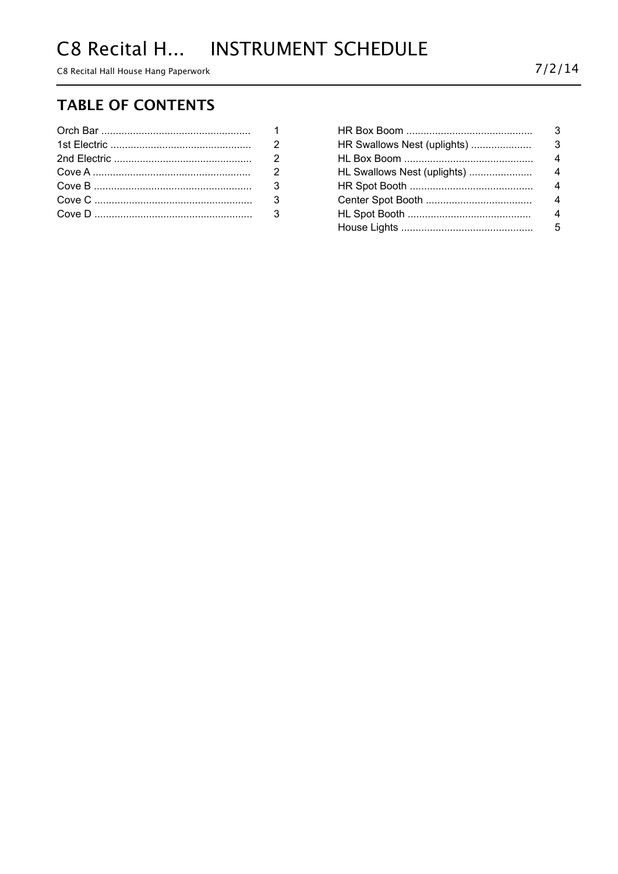C8 Recital Hall House Hang Paperwork

# **TABLE OF CONTENTS**

|                           | $\mathcal{P}$ |
|---------------------------|---------------|
| Cove A ……………………………………………… | $\mathcal{P}$ |
|                           |               |
|                           |               |
|                           |               |

| HR Swallows Nest (uplights) | 3              |
|-----------------------------|----------------|
|                             | $\overline{4}$ |
| HL Swallows Nest (uplights) | 4              |
|                             | $\overline{4}$ |
|                             | $\overline{4}$ |
|                             | 4              |
|                             | 5.             |
|                             |                |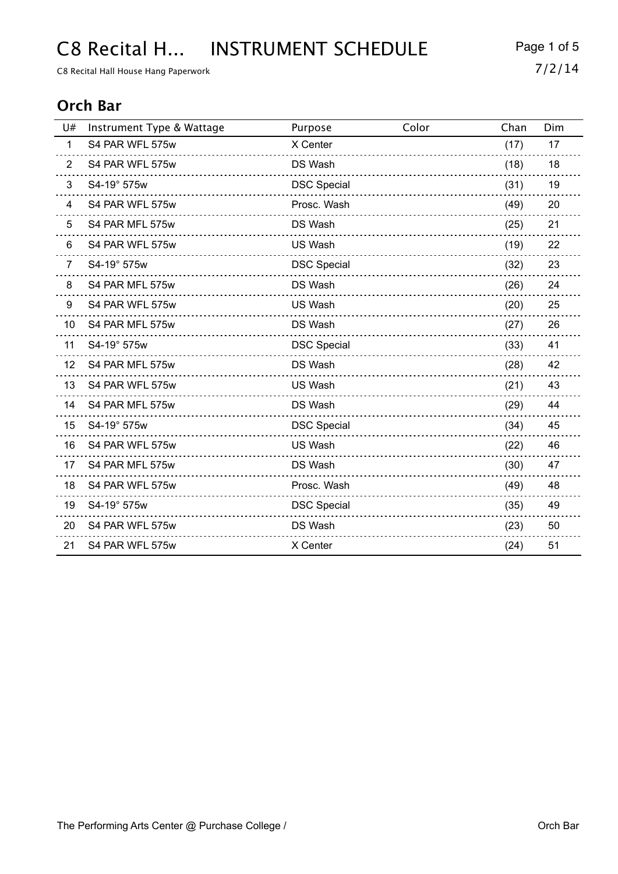# C8 Recital H... INSTRUMENT SCHEDULE Page 1 of 5

C8 Recital Hall House Hang Paperwork  $7/2/14$ 

## **Orch Bar**

| U#             | Instrument Type & Wattage | Purpose            | Color | Chan | Dim |
|----------------|---------------------------|--------------------|-------|------|-----|
| $\mathbf{1}$   | S4 PAR WFL 575w           | X Center           |       | (17) | 17  |
| 2              | S4 PAR WFL 575w           | DS Wash            |       | (18) | 18  |
| 3              | S4-19° 575w               | <b>DSC Special</b> |       | (31) | 19  |
| 4              | S4 PAR WFL 575w           | Prosc. Wash        |       | (49) | 20  |
| 5              | S4 PAR MFL 575w           | DS Wash            |       | (25) | 21  |
| 6              | S4 PAR WFL 575w           | US Wash            |       | (19) | 22  |
| $\overline{7}$ | S4-19° 575w               | <b>DSC Special</b> |       | (32) | 23  |
| 8              | S4 PAR MFL 575w           | DS Wash            |       | (26) | 24  |
| 9              | S4 PAR WFL 575w           | US Wash            |       | (20) | 25  |
| 10             | S4 PAR MFL 575w           | DS Wash            |       | (27) | 26  |
| 11             | S4-19° 575w               | <b>DSC Special</b> |       | (33) | 41  |
| 12             | S4 PAR MFL 575w           | DS Wash            |       | (28) | 42  |
| 13             | S4 PAR WFL 575w           | US Wash            |       | (21) | 43  |
| 14             | S4 PAR MFL 575w           | DS Wash            |       | (29) | 44  |
| 15             | S4-19° 575w               | <b>DSC Special</b> |       | (34) | 45  |
| 16             | S4 PAR WFL 575w           | US Wash            |       | (22) | 46  |
| 17             | S4 PAR MFL 575w           | DS Wash            |       | (30) | 47  |
| 18             | S4 PAR WFL 575w           | Prosc. Wash        |       | (49) | 48  |
| 19             | S4-19° 575w               | <b>DSC Special</b> |       | (35) | 49  |
| 20             | S4 PAR WFL 575w           | DS Wash            |       | (23) | 50  |
| 21             | S4 PAR WFL 575w           | X Center           |       | (24) | 51  |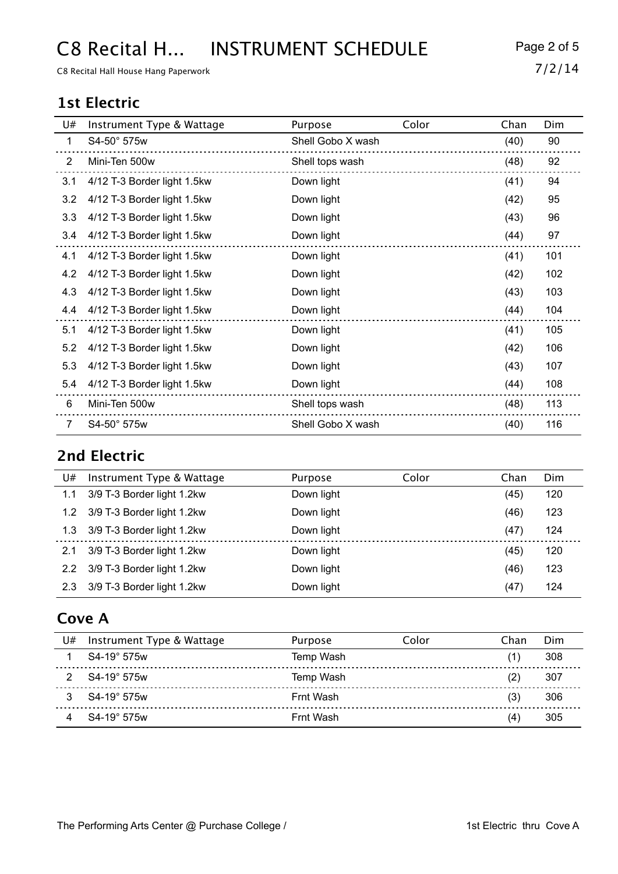# C8 Recital H... INSTRUMENT SCHEDULE Page 2 of 5

C8 Recital Hall House Hang Paperwork  $7/2/14$ 

## **1st Electric**

| U#             | Instrument Type & Wattage   | Purpose           | Color | Chan | Dim |
|----------------|-----------------------------|-------------------|-------|------|-----|
| 1              | S4-50° 575w                 | Shell Gobo X wash |       | (40) | 90  |
| $\overline{2}$ | Mini-Ten 500w               | Shell tops wash   |       | (48) | 92  |
| 3.1            | 4/12 T-3 Border light 1.5kw | Down light        |       | (41) | 94  |
| 3.2            | 4/12 T-3 Border light 1.5kw | Down light        |       | (42) | 95  |
| 3.3            | 4/12 T-3 Border light 1.5kw | Down light        |       | (43) | 96  |
| 3.4            | 4/12 T-3 Border light 1.5kw | Down light        |       | (44) | 97  |
| 4.1            | 4/12 T-3 Border light 1.5kw | Down light        |       | (41) | 101 |
| 4.2            | 4/12 T-3 Border light 1.5kw | Down light        |       | (42) | 102 |
| 4.3            | 4/12 T-3 Border light 1.5kw | Down light        |       | (43) | 103 |
| 4.4            | 4/12 T-3 Border light 1.5kw | Down light        |       | (44) | 104 |
| 5.1            | 4/12 T-3 Border light 1.5kw | Down light        |       | (41) | 105 |
| 5.2            | 4/12 T-3 Border light 1.5kw | Down light        |       | (42) | 106 |
| 5.3            | 4/12 T-3 Border light 1.5kw | Down light        |       | (43) | 107 |
| 5.4            | 4/12 T-3 Border light 1.5kw | Down light        |       | (44) | 108 |
| 6              | Mini-Ten 500w               | Shell tops wash   |       | (48) | 113 |
| $\overline{7}$ | S4-50° 575w                 | Shell Gobo X wash |       | (40) | 116 |

# **2nd Electric**

| U#            | Instrument Type & Wattage  | Purpose    | Color | Chan | Dim |
|---------------|----------------------------|------------|-------|------|-----|
| 1.1           | 3/9 T-3 Border light 1.2kw | Down light |       | (45) | 120 |
| 1.2           | 3/9 T-3 Border light 1.2kw | Down light |       | (46) | 123 |
| 1.3           | 3/9 T-3 Border light 1.2kw | Down light |       | (47) | 124 |
| 2.1           | 3/9 T-3 Border light 1.2kw | Down light |       | (45) | 120 |
| $2.2^{\circ}$ | 3/9 T-3 Border light 1.2kw | Down light |       | (46) | 123 |
| 2.3           | 3/9 T-3 Border light 1.2kw | Down light |       | (47) | 124 |

## **Cove A**

| U# | Instrument Type & Wattage | Purpose   | Color | Chan | Dim |
|----|---------------------------|-----------|-------|------|-----|
|    | $S4-19^{\circ}575w$       | Temp Wash |       | (1)  | 308 |
|    | S4-19° 575w               | Temp Wash |       | (2)  | 307 |
|    | S4-19° 575w               | Frnt Wash |       | (3)  | 306 |
|    | S4-19° 575w               | Frnt Wash |       | (4   | 305 |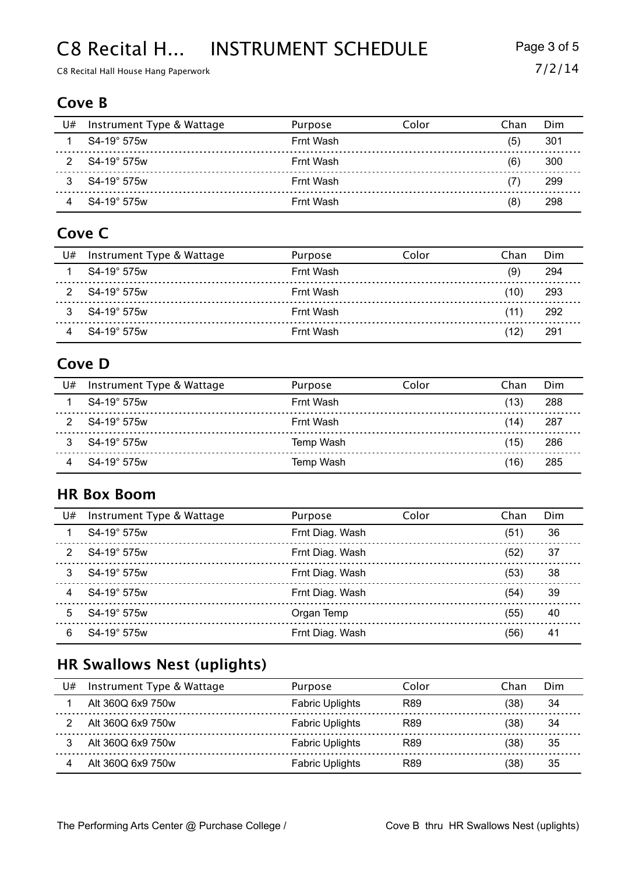# C8 Recital H... INSTRUMENT SCHEDULE Page 3 of 5

C8 Recital Hall House Hang Paperwork  $7/2/14$ 

#### **Cove B**

| U# | Instrument Type & Wattage | Purpose   | Color | Chan | Dim |
|----|---------------------------|-----------|-------|------|-----|
|    | S4-19° 575w               | Frnt Wash |       | (5)  | 301 |
|    | S4-19° 575w               | Frnt Wash |       | (6)  | 300 |
|    | S4-19° 575w               | Frnt Wash |       |      | 299 |
|    | S4-19° 575w               | Frnt Wash |       | (8)  | 298 |

## **Cove C**

| U# | Instrument Type & Wattage | Purpose   | Color | Chan | Dim  |
|----|---------------------------|-----------|-------|------|------|
|    | S4-19° 575w               | Frnt Wash |       | (9)  | 294  |
|    | S4-19° 575w               | Frnt Wash |       | (10) | -293 |
|    | S4-19° 575w               | Frnt Wash |       | (11) | -292 |
|    | S4-19° 575w               | Frnt Wash |       | (12) | 291  |

## **Cove D**

| U# | Instrument Type & Wattage | Purpose   | Color | Chan | Dim  |
|----|---------------------------|-----------|-------|------|------|
|    | S4-19° 575w               | Frnt Wash |       | (13) | 288  |
|    | S4-19° 575w               | Frnt Wash |       | (14) | -287 |
|    | S4-19° 575w               | Temp Wash |       | (15) | 286  |
|    | S4-19° 575w               | Temp Wash |       | 16)  | 285  |

#### **HR Box Boom**

| U#            | Instrument Type & Wattage | Purpose         | Color | Chan | Dim |
|---------------|---------------------------|-----------------|-------|------|-----|
|               | S4-19° 575w               | Frnt Diag. Wash |       | (51) | 36  |
| $\mathcal{P}$ | S4-19° 575w               | Frnt Diag. Wash |       | (52) | 37  |
| 3             | $S4-19^{\circ}$ 575w      | Frnt Diag. Wash |       | (53) | 38  |
|               | $S4-19^{\circ}$ 575w      | Frnt Diag. Wash |       | (54) | 39  |
| 5             | S4-19° 575w               | Organ Temp      |       | (55) | 40  |
| 6             | $S4-19^{\circ}575w$       | Frnt Diag. Wash |       | (56) | 41  |

## **HR Swallows Nest (uplights)**

| U# | Instrument Type & Wattage | Purpose                | Color | Chan | Dim |
|----|---------------------------|------------------------|-------|------|-----|
|    | Alt 360Q 6x9 750w         | <b>Fabric Uplights</b> | R89   | '38) | 34  |
|    | Alt 360Q 6x9 750w         | <b>Fabric Uplights</b> | R89   | '38) | 34  |
|    | Alt 360Q 6x9 750w         | <b>Fabric Uplights</b> | R89   | 38)  | 35  |
|    | Alt 360Q 6x9 750w         | <b>Fabric Uplights</b> | R89   | 38)  | 35  |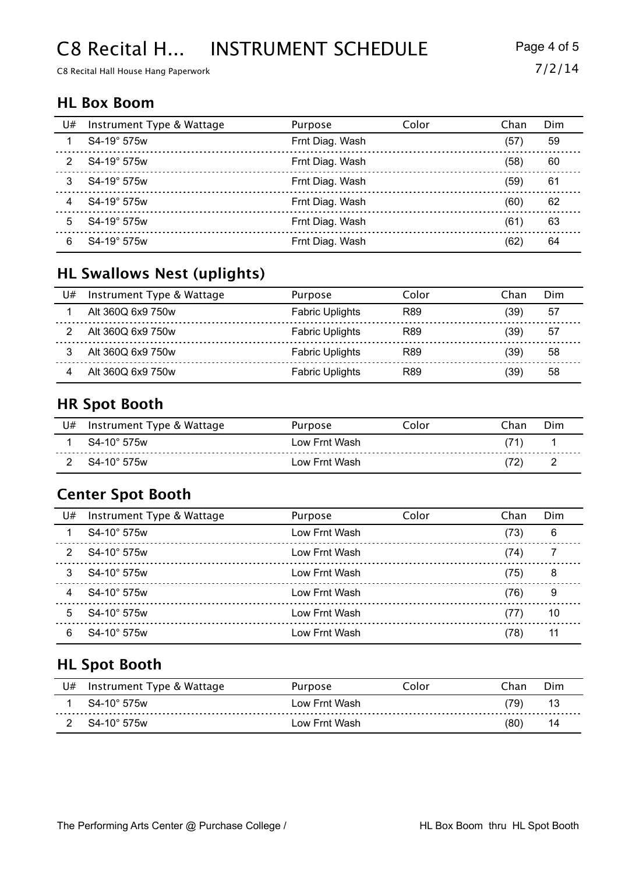# C8 Recital H... INSTRUMENT SCHEDULE Page 4 of 5

C8 Recital Hall House Hang Paperwork  $7/2/14$ 

#### **HL Box Boom**

| U# | Instrument Type & Wattage | Purpose         | Color | Chan | Dim |
|----|---------------------------|-----------------|-------|------|-----|
|    | $S4-19^\circ$ 575w        | Frnt Diag. Wash |       | (57) | 59  |
|    | S4-19° 575w               | Frnt Diag. Wash |       | (58) | 60  |
| 3  | $S4-19^{\circ}$ 575w      | Frnt Diag. Wash |       | (59) | 61  |
|    | S4-19° 575w               | Frnt Diag. Wash |       | (60) | 62  |
| 5  | S4-19° 575w               | Frnt Diag. Wash |       | (61) | 63  |
| 6  | $S4-19^{\circ}$ 575w      | Frnt Diag. Wash |       | (62) | 64  |

# **HL Swallows Nest (uplights)**

| U# | Instrument Type & Wattage | Purpose                | Color | Chan | Dim |
|----|---------------------------|------------------------|-------|------|-----|
|    | Alt 360Q 6x9 750w         | <b>Fabric Uplights</b> | R89   | ′39) | -57 |
|    | Alt 360Q 6x9 750w         | <b>Fabric Uplights</b> | R89   | '39) | 57  |
|    | Alt 360Q 6x9 750w         | <b>Fabric Uplights</b> | R89   | '39) | 58  |
|    | Alt 360Q 6x9 750w         | <b>Fabric Uplights</b> | R89   | 39)  | 58  |

#### **HR Spot Booth**

| U# | Instrument Type & Wattage | Purpose       | Color | ำhan ิ | Dim      |
|----|---------------------------|---------------|-------|--------|----------|
|    | S4-10° 575w               | Low Frnt Wash |       |        |          |
|    | $S4-10^{\circ}$ 575w      | Low Frnt Wash |       |        | <u>_</u> |

#### **Center Spot Booth**

| U#            | Instrument Type & Wattage | Purpose       | Color | Chan | Dim |
|---------------|---------------------------|---------------|-------|------|-----|
|               | $S4-10^{\circ}$ 575w      | Low Frnt Wash |       | (73) | 6   |
| $\mathcal{P}$ | $S4-10^{\circ}$ 575w      | Low Frnt Wash |       | (74) |     |
|               | S4-10° 575w               | Low Frnt Wash |       | (75) | 8   |
| 4             | $S4-10^{\circ}$ 575w      | Low Frnt Wash |       | (76) | 9   |
| 5             | $S4-10^{\circ}$ 575w      | Low Frnt Wash |       | (77) | 10  |
| 6             | $S4-10^{\circ}$ 575w      | Low Frnt Wash |       | (78) | 11  |

## **HL Spot Booth**

| J# | Instrument Type & Wattage | Purpose       | Iolor | ⊤han | Dim |
|----|---------------------------|---------------|-------|------|-----|
|    | $S4-10^{\circ}$ 575w      | Low Frnt Wash |       | 79)  | 13  |
|    | $S4-10^{\circ}$ 575w      | Low Frnt Wash |       | (80) |     |